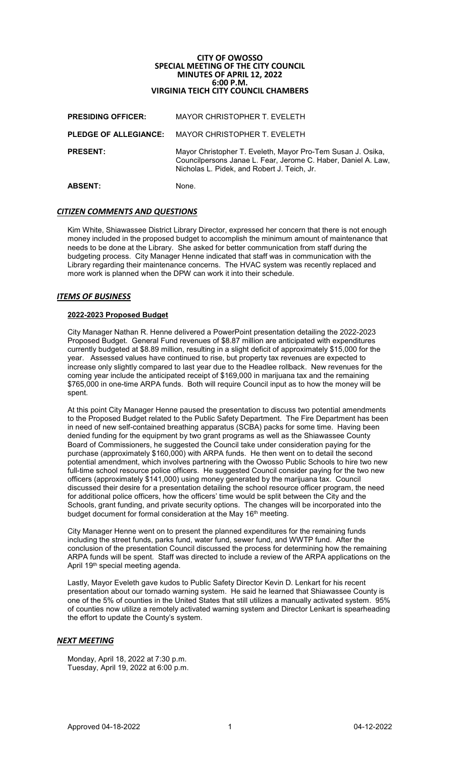# **CITY OF OWOSSO SPECIAL MEETING OF THE CITY COUNCIL MINUTES OF APRIL 12, 2022 6:00 P.M. VIRGINIA TEICH CITY COUNCIL CHAMBERS**

| <b>PRESIDING OFFICER:</b>    | MAYOR CHRISTOPHER T. EVELETH                                                                                                                                                |
|------------------------------|-----------------------------------------------------------------------------------------------------------------------------------------------------------------------------|
| <b>PLEDGE OF ALLEGIANCE:</b> | MAYOR CHRISTOPHER T. EVELETH                                                                                                                                                |
| <b>PRESENT:</b>              | Mayor Christopher T. Eveleth, Mayor Pro-Tem Susan J. Osika,<br>Councilpersons Janae L. Fear, Jerome C. Haber, Daniel A. Law,<br>Nicholas L. Pidek, and Robert J. Teich, Jr. |
| <b>ABSENT:</b>               | None.                                                                                                                                                                       |

## *CITIZEN COMMENTS AND QUESTIONS*

Kim White, Shiawassee District Library Director, expressed her concern that there is not enough money included in the proposed budget to accomplish the minimum amount of maintenance that needs to be done at the Library. She asked for better communication from staff during the budgeting process. City Manager Henne indicated that staff was in communication with the Library regarding their maintenance concerns. The HVAC system was recently replaced and more work is planned when the DPW can work it into their schedule.

## *ITEMS OF BUSINESS*

#### **2022-2023 Proposed Budget**

City Manager Nathan R. Henne delivered a PowerPoint presentation detailing the 2022-2023 Proposed Budget. General Fund revenues of \$8.87 million are anticipated with expenditures currently budgeted at \$8.89 million, resulting in a slight deficit of approximately \$15,000 for the year. Assessed values have continued to rise, but property tax revenues are expected to increase only slightly compared to last year due to the Headlee rollback. New revenues for the coming year include the anticipated receipt of \$169,000 in marijuana tax and the remaining \$765,000 in one-time ARPA funds. Both will require Council input as to how the money will be spent.

At this point City Manager Henne paused the presentation to discuss two potential amendments to the Proposed Budget related to the Public Safety Department. The Fire Department has been in need of new self-contained breathing apparatus (SCBA) packs for some time. Having been denied funding for the equipment by two grant programs as well as the Shiawassee County Board of Commissioners, he suggested the Council take under consideration paying for the purchase (approximately \$160,000) with ARPA funds. He then went on to detail the second potential amendment, which involves partnering with the Owosso Public Schools to hire two new full-time school resource police officers. He suggested Council consider paying for the two new officers (approximately \$141,000) using money generated by the marijuana tax. Council discussed their desire for a presentation detailing the school resource officer program, the need for additional police officers, how the officers' time would be split between the City and the Schools, grant funding, and private security options. The changes will be incorporated into the budget document for formal consideration at the May 16<sup>th</sup> meeting.

City Manager Henne went on to present the planned expenditures for the remaining funds including the street funds, parks fund, water fund, sewer fund, and WWTP fund. After the conclusion of the presentation Council discussed the process for determining how the remaining ARPA funds will be spent. Staff was directed to include a review of the ARPA applications on the April 19th special meeting agenda.

Lastly, Mayor Eveleth gave kudos to Public Safety Director Kevin D. Lenkart for his recent presentation about our tornado warning system. He said he learned that Shiawassee County is one of the 5% of counties in the United States that still utilizes a manually activated system. 95% of counties now utilize a remotely activated warning system and Director Lenkart is spearheading the effort to update the County's system.

## *NEXT MEETING*

Monday, April 18, 2022 at 7:30 p.m. Tuesday, April 19, 2022 at 6:00 p.m.